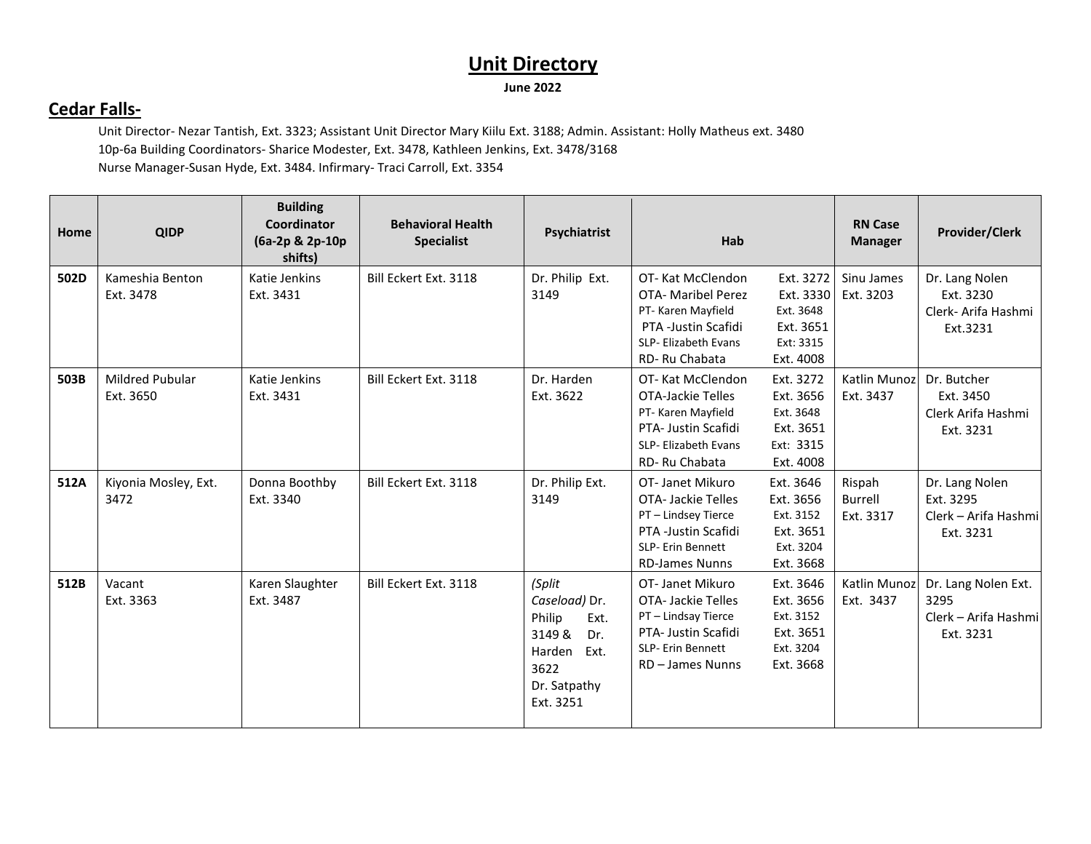#### **Cedar Falls-**

Unit Director- Nezar Tantish, Ext. 3323; Assistant Unit Director Mary Kiilu Ext. 3188; Admin. Assistant: Holly Matheus ext. 3480 10p-6a Building Coordinators- Sharice Modester, Ext. 3478, Kathleen Jenkins, Ext. 3478/3168 Nurse Manager-Susan Hyde, Ext. 3484. Infirmary- Traci Carroll, Ext. 3354

| Home | <b>QIDP</b>                         | <b>Building</b><br>Coordinator<br>(6a-2p & 2p-10p<br>shifts) | <b>Behavioral Health</b><br><b>Specialist</b> | Psychiatrist                                                                                                      | Hab                                                                                                                                     | <b>RN Case</b><br><b>Manager</b>                                                                                    | <b>Provider/Clerk</b>                                            |
|------|-------------------------------------|--------------------------------------------------------------|-----------------------------------------------|-------------------------------------------------------------------------------------------------------------------|-----------------------------------------------------------------------------------------------------------------------------------------|---------------------------------------------------------------------------------------------------------------------|------------------------------------------------------------------|
| 502D | Kameshia Benton<br>Ext. 3478        | Katie Jenkins<br>Ext. 3431                                   | Bill Eckert Ext. 3118                         | Dr. Philip Ext.<br>3149                                                                                           | OT-Kat McClendon<br><b>OTA- Maribel Perez</b><br>PT- Karen Mayfield<br>PTA -Justin Scafidi<br>SLP- Elizabeth Evans<br>RD-Ru Chabata     | Ext. 3272<br>Sinu James<br>Ext. 3330<br>Ext. 3203<br>Ext. 3648<br>Ext. 3651<br>Ext: 3315<br>Ext. 4008               | Dr. Lang Nolen<br>Ext. 3230<br>Clerk- Arifa Hashmi<br>Ext.3231   |
| 503B | <b>Mildred Pubular</b><br>Ext. 3650 | Katie Jenkins<br>Ext. 3431                                   | Bill Eckert Ext. 3118                         | Dr. Harden<br>Ext. 3622                                                                                           | OT-Kat McClendon<br><b>OTA-Jackie Telles</b><br>PT- Karen Mayfield<br>PTA- Justin Scafidi<br>SLP- Elizabeth Evans<br>RD-Ru Chabata      | Ext. 3272<br>Katlin Munoz<br>Ext. 3656<br>Ext. 3437<br>Ext. 3648<br>Ext. 3651<br>Ext: 3315<br>Ext. 4008             | Dr. Butcher<br>Ext. 3450<br>Clerk Arifa Hashmi<br>Ext. 3231      |
| 512A | Kiyonia Mosley, Ext.<br>3472        | Donna Boothby<br>Ext. 3340                                   | Bill Eckert Ext. 3118                         | Dr. Philip Ext.<br>3149                                                                                           | OT-Janet Mikuro<br><b>OTA-Jackie Telles</b><br>PT - Lindsey Tierce<br>PTA -Justin Scafidi<br>SLP- Erin Bennett<br><b>RD-James Nunns</b> | Ext. 3646<br>Rispah<br>Ext. 3656<br><b>Burrell</b><br>Ext. 3152<br>Ext. 3317<br>Ext. 3651<br>Ext. 3204<br>Ext. 3668 | Dr. Lang Nolen<br>Ext. 3295<br>Clerk - Arifa Hashmi<br>Ext. 3231 |
| 512B | Vacant<br>Ext. 3363                 | Karen Slaughter<br>Ext. 3487                                 | Bill Eckert Ext. 3118                         | (Split<br>Caseload) Dr.<br>Philip<br>Ext.<br>3149 &<br>Dr.<br>Harden<br>Ext.<br>3622<br>Dr. Satpathy<br>Ext. 3251 | OT- Janet Mikuro<br><b>OTA-Jackie Telles</b><br>PT - Lindsay Tierce<br>PTA- Justin Scafidi<br>SLP- Erin Bennett<br>RD - James Nunns     | Ext. 3646<br>Katlin Munoz<br>Ext. 3656<br>Ext. 3437<br>Ext. 3152<br>Ext. 3651<br>Ext. 3204<br>Ext. 3668             | Dr. Lang Nolen Ext.<br>3295<br>Clerk - Arifa Hashmi<br>Ext. 3231 |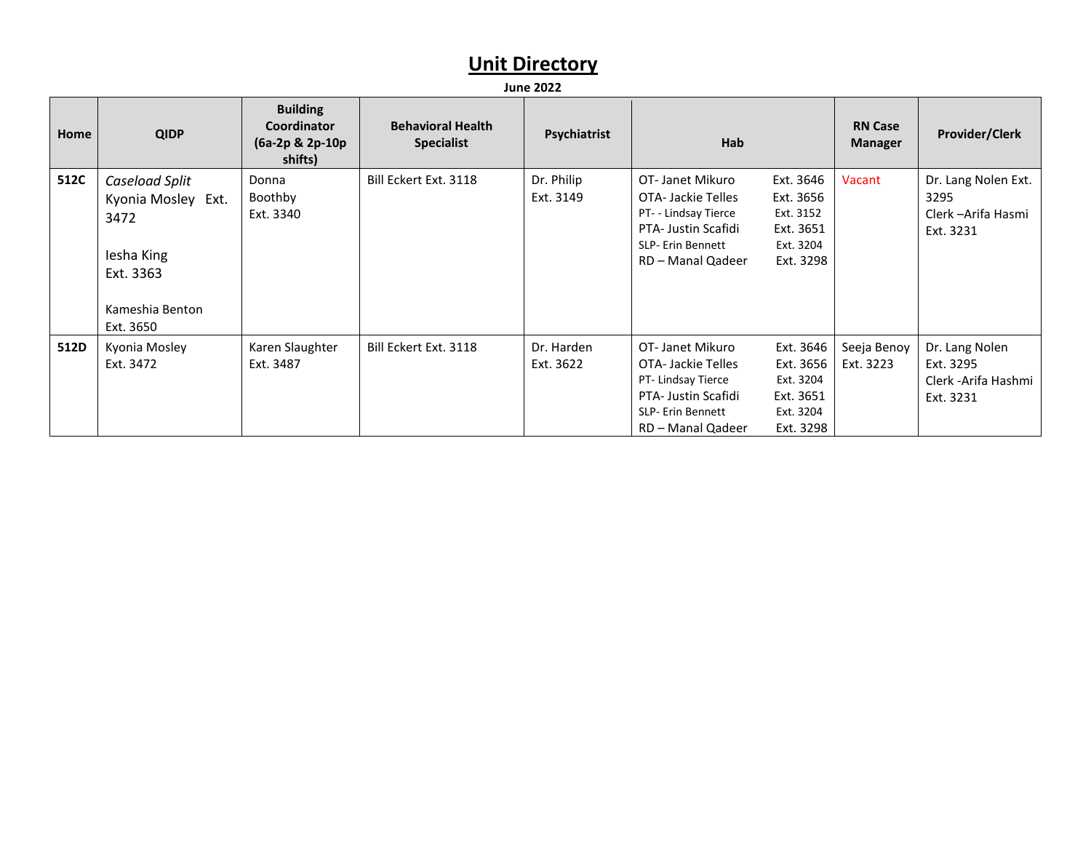| Home | <b>QIDP</b>                                                                                             | <b>Building</b><br>Coordinator<br>(6a-2p & 2p-10p<br>shifts) | <b>Behavioral Health</b><br><b>Specialist</b> | Psychiatrist            | <b>Hab</b>                                                                                                                           |                                                                            | <b>RN Case</b><br><b>Manager</b> | <b>Provider/Clerk</b>                                            |
|------|---------------------------------------------------------------------------------------------------------|--------------------------------------------------------------|-----------------------------------------------|-------------------------|--------------------------------------------------------------------------------------------------------------------------------------|----------------------------------------------------------------------------|----------------------------------|------------------------------------------------------------------|
| 512C | Caseload Split<br>Kyonia Mosley Ext.<br>3472<br>lesha King<br>Ext. 3363<br>Kameshia Benton<br>Ext. 3650 | Donna<br>Boothby<br>Ext. 3340                                | Bill Eckert Ext. 3118                         | Dr. Philip<br>Ext. 3149 | OT-Janet Mikuro<br>OTA-Jackie Telles<br>PT- - Lindsay Tierce<br><b>PTA- Justin Scafidi</b><br>SLP- Erin Bennett<br>RD - Manal Qadeer | Ext. 3646<br>Ext. 3656<br>Ext. 3152<br>Ext. 3651<br>Ext. 3204<br>Ext. 3298 | Vacant                           | Dr. Lang Nolen Ext.<br>3295<br>Clerk - Arifa Hasmi<br>Ext. 3231  |
| 512D | Kyonia Mosley<br>Ext. 3472                                                                              | Karen Slaughter<br>Ext. 3487                                 | Bill Eckert Ext. 3118                         | Dr. Harden<br>Ext. 3622 | OT-Janet Mikuro<br>OTA-Jackie Telles<br>PT-Lindsay Tierce<br>PTA- Justin Scafidi<br>SLP- Erin Bennett<br>RD - Manal Qadeer           | Ext. 3646<br>Ext. 3656<br>Ext. 3204<br>Ext. 3651<br>Ext. 3204<br>Ext. 3298 | Seeja Benoy<br>Ext. 3223         | Dr. Lang Nolen<br>Ext. 3295<br>Clerk - Arifa Hashmi<br>Ext. 3231 |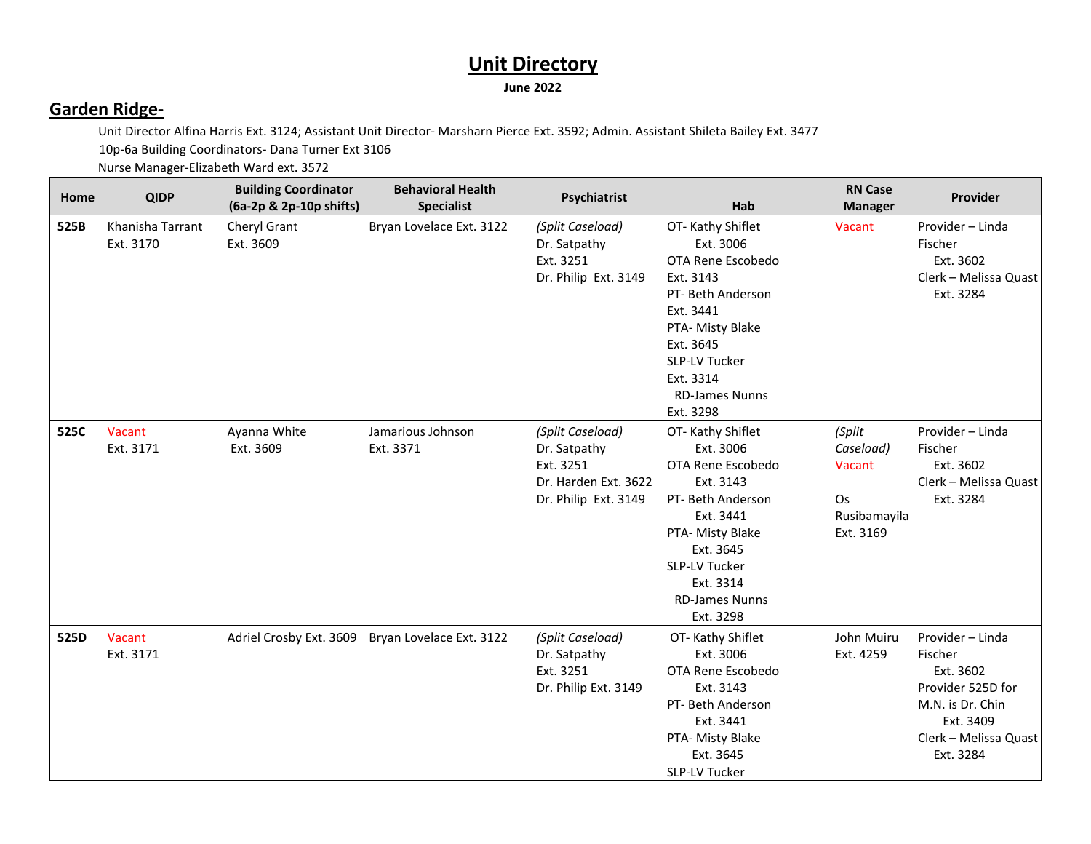#### **Garden Ridge-**

Unit Director Alfina Harris Ext. 3124; Assistant Unit Director- Marsharn Pierce Ext. 3592; Admin. Assistant Shileta Bailey Ext. 3477

10p-6a Building Coordinators- Dana Turner Ext 3106 Nurse Manager-Elizabeth Ward ext. 3572

| Home | <b>QIDP</b>                   | <b>Building Coordinator</b><br>(6a-2p & 2p-10p shifts) | <b>Behavioral Health</b><br><b>Specialist</b> | Psychiatrist                                                                                  | Hab                                                                                                                                                                                                           | <b>RN Case</b><br><b>Manager</b>                                 | Provider                                                                                                                             |
|------|-------------------------------|--------------------------------------------------------|-----------------------------------------------|-----------------------------------------------------------------------------------------------|---------------------------------------------------------------------------------------------------------------------------------------------------------------------------------------------------------------|------------------------------------------------------------------|--------------------------------------------------------------------------------------------------------------------------------------|
| 525B | Khanisha Tarrant<br>Ext. 3170 | Cheryl Grant<br>Ext. 3609                              | Bryan Lovelace Ext. 3122                      | (Split Caseload)<br>Dr. Satpathy<br>Ext. 3251<br>Dr. Philip Ext. 3149                         | OT-Kathy Shiflet<br>Ext. 3006<br>OTA Rene Escobedo<br>Ext. 3143<br>PT- Beth Anderson<br>Ext. 3441<br>PTA- Misty Blake<br>Ext. 3645<br><b>SLP-LV Tucker</b><br>Ext. 3314<br><b>RD-James Nunns</b><br>Ext. 3298 | Vacant                                                           | Provider - Linda<br>Fischer<br>Ext. 3602<br>Clerk - Melissa Quast<br>Ext. 3284                                                       |
| 525C | Vacant<br>Ext. 3171           | Ayanna White<br>Ext. 3609                              | Jamarious Johnson<br>Ext. 3371                | (Split Caseload)<br>Dr. Satpathy<br>Ext. 3251<br>Dr. Harden Ext. 3622<br>Dr. Philip Ext. 3149 | OT-Kathy Shiflet<br>Ext. 3006<br>OTA Rene Escobedo<br>Ext. 3143<br>PT- Beth Anderson<br>Ext. 3441<br>PTA- Misty Blake<br>Ext. 3645<br><b>SLP-LV Tucker</b><br>Ext. 3314<br><b>RD-James Nunns</b><br>Ext. 3298 | (Split<br>Caseload)<br>Vacant<br>Os<br>Rusibamayila<br>Ext. 3169 | Provider - Linda<br>Fischer<br>Ext. 3602<br>Clerk - Melissa Quast<br>Ext. 3284                                                       |
| 525D | Vacant<br>Ext. 3171           | Adriel Crosby Ext. 3609                                | Bryan Lovelace Ext. 3122                      | (Split Caseload)<br>Dr. Satpathy<br>Ext. 3251<br>Dr. Philip Ext. 3149                         | OT-Kathy Shiflet<br>Ext. 3006<br>OTA Rene Escobedo<br>Ext. 3143<br>PT- Beth Anderson<br>Ext. 3441<br>PTA- Misty Blake<br>Ext. 3645<br>SLP-LV Tucker                                                           | John Muiru<br>Ext. 4259                                          | Provider - Linda<br>Fischer<br>Ext. 3602<br>Provider 525D for<br>M.N. is Dr. Chin<br>Ext. 3409<br>Clerk - Melissa Quast<br>Ext. 3284 |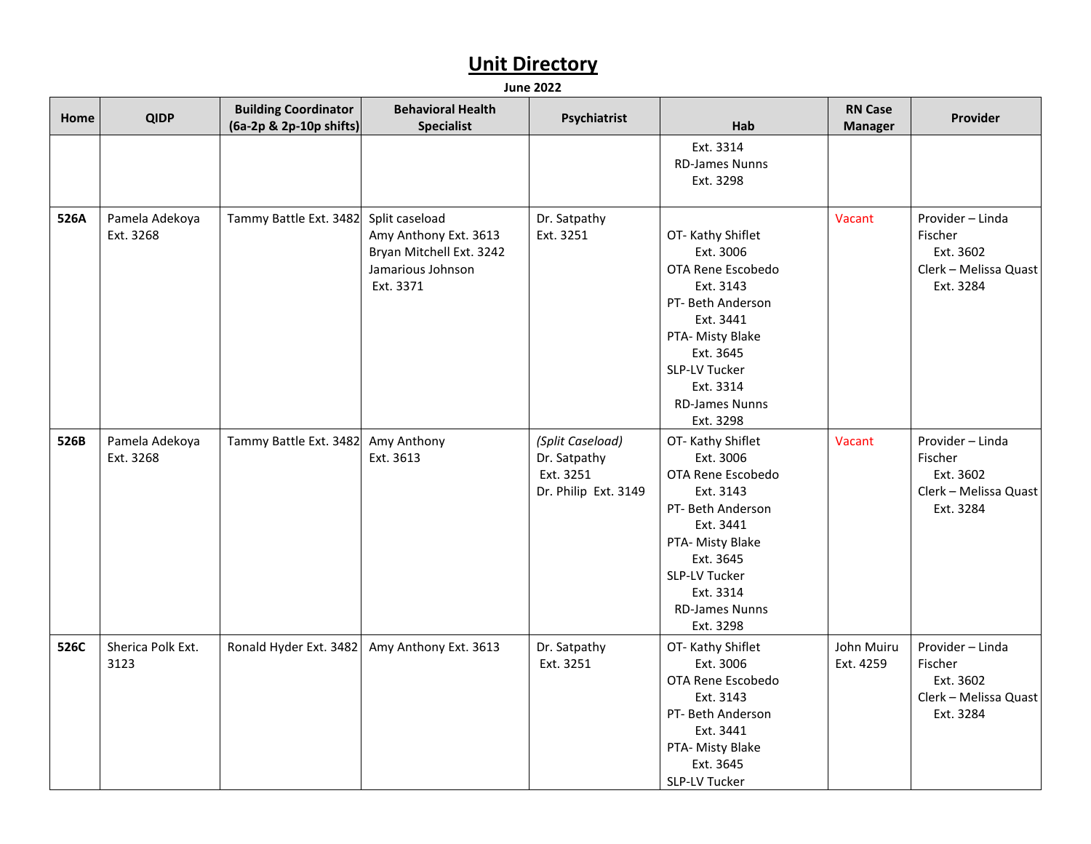| <b>Home</b> | <b>QIDP</b>                 | <b>Building Coordinator</b><br>(6a-2p & 2p-10p shifts) | <b>Behavioral Health</b><br><b>Specialist</b>                                       | Psychiatrist                                                          | Hab                                                                                                                                                                                                           | <b>RN Case</b><br><b>Manager</b> | Provider                                                                       |
|-------------|-----------------------------|--------------------------------------------------------|-------------------------------------------------------------------------------------|-----------------------------------------------------------------------|---------------------------------------------------------------------------------------------------------------------------------------------------------------------------------------------------------------|----------------------------------|--------------------------------------------------------------------------------|
|             |                             |                                                        |                                                                                     |                                                                       | Ext. 3314<br><b>RD-James Nunns</b><br>Ext. 3298                                                                                                                                                               |                                  |                                                                                |
| 526A        | Pamela Adekoya<br>Ext. 3268 | Tammy Battle Ext. 3482 Split caseload                  | Amy Anthony Ext. 3613<br>Bryan Mitchell Ext. 3242<br>Jamarious Johnson<br>Ext. 3371 | Dr. Satpathy<br>Ext. 3251                                             | OT-Kathy Shiflet<br>Ext. 3006<br>OTA Rene Escobedo<br>Ext. 3143<br>PT- Beth Anderson<br>Ext. 3441<br>PTA- Misty Blake<br>Ext. 3645<br><b>SLP-LV Tucker</b><br>Ext. 3314<br><b>RD-James Nunns</b><br>Ext. 3298 | Vacant                           | Provider - Linda<br>Fischer<br>Ext. 3602<br>Clerk - Melissa Quast<br>Ext. 3284 |
| 526B        | Pamela Adekoya<br>Ext. 3268 | Tammy Battle Ext. 3482                                 | Amy Anthony<br>Ext. 3613                                                            | (Split Caseload)<br>Dr. Satpathy<br>Ext. 3251<br>Dr. Philip Ext. 3149 | OT-Kathy Shiflet<br>Ext. 3006<br>OTA Rene Escobedo<br>Ext. 3143<br>PT- Beth Anderson<br>Ext. 3441<br>PTA- Misty Blake<br>Ext. 3645<br>SLP-LV Tucker<br>Ext. 3314<br><b>RD-James Nunns</b><br>Ext. 3298        | Vacant                           | Provider - Linda<br>Fischer<br>Ext. 3602<br>Clerk - Melissa Quast<br>Ext. 3284 |
| 526C        | Sherica Polk Ext.<br>3123   | Ronald Hyder Ext. 3482                                 | Amy Anthony Ext. 3613                                                               | Dr. Satpathy<br>Ext. 3251                                             | OT-Kathy Shiflet<br>Ext. 3006<br>OTA Rene Escobedo<br>Ext. 3143<br>PT- Beth Anderson<br>Ext. 3441<br>PTA- Misty Blake<br>Ext. 3645<br>SLP-LV Tucker                                                           | John Muiru<br>Ext. 4259          | Provider - Linda<br>Fischer<br>Ext. 3602<br>Clerk - Melissa Quast<br>Ext. 3284 |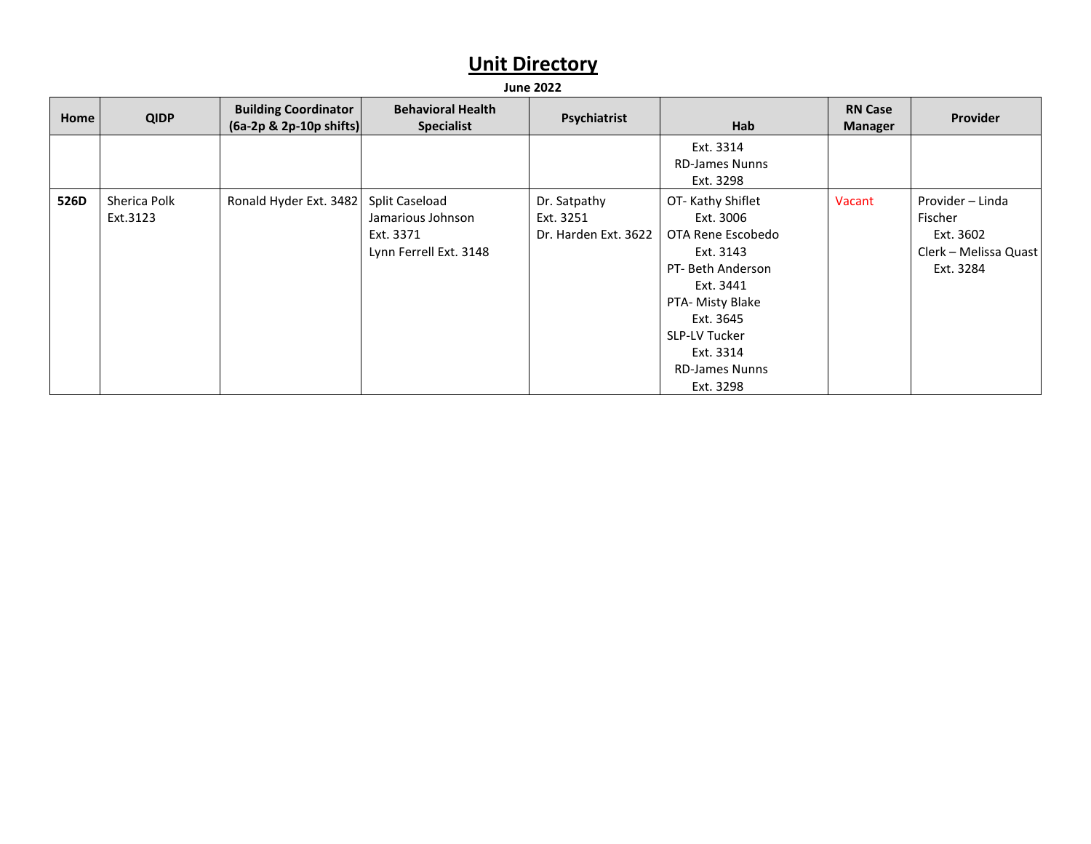| Home | <b>QIDP</b>              | <b>Building Coordinator</b><br>$(6a-2p & 2p-10p \text{ shifts})$ | <b>Behavioral Health</b><br><b>Specialist</b>                              | Psychiatrist                                      | Hab                                                                                                                                                                                                           | <b>RN Case</b><br><b>Manager</b> | Provider                                                                       |
|------|--------------------------|------------------------------------------------------------------|----------------------------------------------------------------------------|---------------------------------------------------|---------------------------------------------------------------------------------------------------------------------------------------------------------------------------------------------------------------|----------------------------------|--------------------------------------------------------------------------------|
|      |                          |                                                                  |                                                                            |                                                   | Ext. 3314<br><b>RD-James Nunns</b><br>Ext. 3298                                                                                                                                                               |                                  |                                                                                |
| 526D | Sherica Polk<br>Ext.3123 | Ronald Hyder Ext. 3482                                           | Split Caseload<br>Jamarious Johnson<br>Ext. 3371<br>Lynn Ferrell Ext. 3148 | Dr. Satpathy<br>Ext. 3251<br>Dr. Harden Ext. 3622 | OT-Kathy Shiflet<br>Ext. 3006<br>OTA Rene Escobedo<br>Ext. 3143<br>PT- Beth Anderson<br>Ext. 3441<br>PTA- Misty Blake<br>Ext. 3645<br><b>SLP-LV Tucker</b><br>Ext. 3314<br><b>RD-James Nunns</b><br>Ext. 3298 | Vacant                           | Provider - Linda<br>Fischer<br>Ext. 3602<br>Clerk - Melissa Quast<br>Ext. 3284 |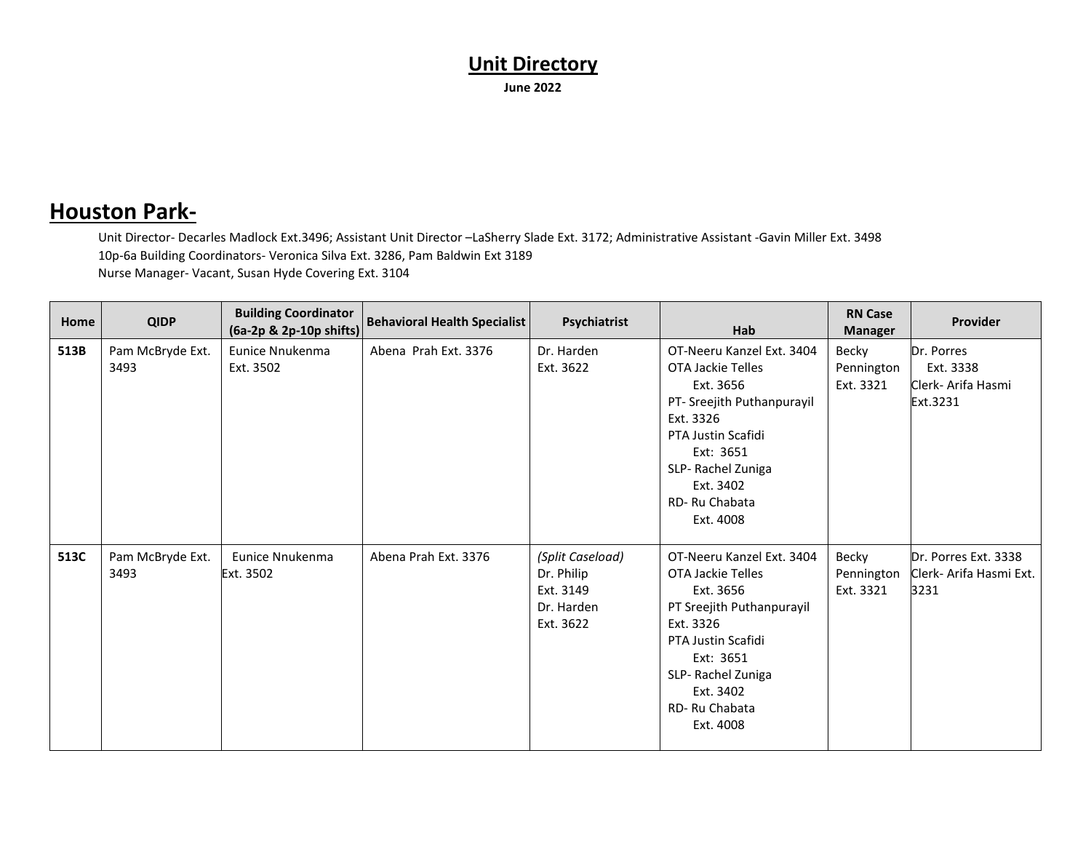#### **Houston Park-**

Unit Director- Decarles Madlock Ext.3496; Assistant Unit Director –LaSherry Slade Ext. 3172; Administrative Assistant -Gavin Miller Ext. 3498 10p-6a Building Coordinators- Veronica Silva Ext. 3286, Pam Baldwin Ext 3189 Nurse Manager- Vacant, Susan Hyde Covering Ext. 3104

| Home | <b>QIDP</b>              | <b>Building Coordinator</b><br>(6a-2p & 2p-10p shifts) | <b>Behavioral Health Specialist</b> | Psychiatrist                                                           | Hab                                                                                                                                                                                                       | <b>RN Case</b><br><b>Manager</b> | <b>Provider</b>                                           |
|------|--------------------------|--------------------------------------------------------|-------------------------------------|------------------------------------------------------------------------|-----------------------------------------------------------------------------------------------------------------------------------------------------------------------------------------------------------|----------------------------------|-----------------------------------------------------------|
| 513B | Pam McBryde Ext.<br>3493 | Eunice Nnukenma<br>Ext. 3502                           | Abena Prah Ext. 3376                | Dr. Harden<br>Ext. 3622                                                | OT-Neeru Kanzel Ext. 3404<br>OTA Jackie Telles<br>Ext. 3656<br>PT- Sreejith Puthanpurayil<br>Ext. 3326<br>PTA Justin Scafidi<br>Ext: 3651<br>SLP-Rachel Zuniga<br>Ext. 3402<br>RD-Ru Chabata<br>Ext. 4008 | Becky<br>Pennington<br>Ext. 3321 | Dr. Porres<br>Ext. 3338<br>Clerk- Arifa Hasmi<br>Ext.3231 |
| 513C | Pam McBryde Ext.<br>3493 | Eunice Nnukenma<br>Ext. 3502                           | Abena Prah Ext. 3376                | (Split Caseload)<br>Dr. Philip<br>Ext. 3149<br>Dr. Harden<br>Ext. 3622 | OT-Neeru Kanzel Ext. 3404<br>OTA Jackie Telles<br>Ext. 3656<br>PT Sreejith Puthanpurayil<br>Ext. 3326<br>PTA Justin Scafidi<br>Ext: 3651<br>SLP-Rachel Zuniga<br>Ext. 3402<br>RD-Ru Chabata<br>Ext. 4008  | Becky<br>Pennington<br>Ext. 3321 | Dr. Porres Ext. 3338<br>Clerk- Arifa Hasmi Ext.<br>3231   |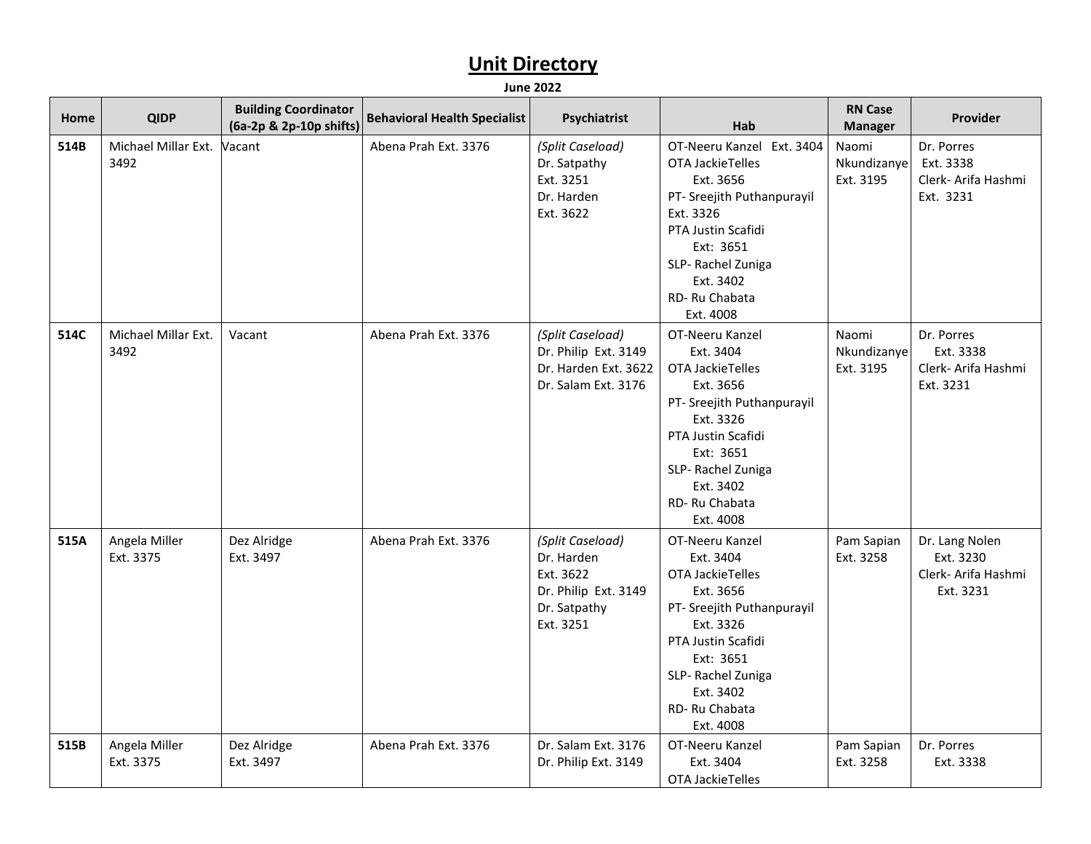| Home | <b>QIDP</b>                 | <b>Building Coordinator</b><br>(6a-2p & 2p-10p shifts) | <b>Behavioral Health Specialist</b> | Psychiatrist                                                                                     | Hab                                                                                                                                                                                                         | <b>RN Case</b><br><b>Manager</b>   | Provider                                                        |
|------|-----------------------------|--------------------------------------------------------|-------------------------------------|--------------------------------------------------------------------------------------------------|-------------------------------------------------------------------------------------------------------------------------------------------------------------------------------------------------------------|------------------------------------|-----------------------------------------------------------------|
| 514B | Michael Millar Ext.<br>3492 | Vacant                                                 | Abena Prah Ext. 3376                | (Split Caseload)<br>Dr. Satpathy<br>Ext. 3251<br>Dr. Harden<br>Ext. 3622                         | OT-Neeru Kanzel Ext. 3404<br>OTA JackieTelles<br>Ext. 3656<br>PT- Sreejith Puthanpurayil<br>Ext. 3326<br>PTA Justin Scafidi<br>Ext: 3651<br>SLP-Rachel Zuniga<br>Ext. 3402<br>RD-Ru Chabata<br>Ext. 4008    | Naomi<br>Nkundizanyel<br>Ext. 3195 | Dr. Porres<br>Ext. 3338<br>Clerk- Arifa Hashmi<br>Ext. 3231     |
| 514C | Michael Millar Ext.<br>3492 | Vacant                                                 | Abena Prah Ext. 3376                | (Split Caseload)<br>Dr. Philip Ext. 3149<br>Dr. Harden Ext. 3622<br>Dr. Salam Ext. 3176          | OT-Neeru Kanzel<br>Ext. 3404<br>OTA JackieTelles<br>Ext. 3656<br>PT- Sreejith Puthanpurayil<br>Ext. 3326<br>PTA Justin Scafidi<br>Ext: 3651<br>SLP-Rachel Zuniga<br>Ext. 3402<br>RD-Ru Chabata<br>Ext. 4008 | Naomi<br>Nkundizanye<br>Ext. 3195  | Dr. Porres<br>Ext. 3338<br>Clerk- Arifa Hashmi<br>Ext. 3231     |
| 515A | Angela Miller<br>Ext. 3375  | Dez Alridge<br>Ext. 3497                               | Abena Prah Ext. 3376                | (Split Caseload)<br>Dr. Harden<br>Ext. 3622<br>Dr. Philip Ext. 3149<br>Dr. Satpathy<br>Ext. 3251 | OT-Neeru Kanzel<br>Ext. 3404<br>OTA JackieTelles<br>Ext. 3656<br>PT- Sreejith Puthanpurayil<br>Ext. 3326<br>PTA Justin Scafidi<br>Ext: 3651<br>SLP-Rachel Zuniga<br>Ext. 3402<br>RD-Ru Chabata<br>Ext. 4008 | Pam Sapian<br>Ext. 3258            | Dr. Lang Nolen<br>Ext. 3230<br>Clerk- Arifa Hashmi<br>Ext. 3231 |
| 515B | Angela Miller<br>Ext. 3375  | Dez Alridge<br>Ext. 3497                               | Abena Prah Ext. 3376                | Dr. Salam Ext. 3176<br>Dr. Philip Ext. 3149                                                      | OT-Neeru Kanzel<br>Ext. 3404<br>OTA JackieTelles                                                                                                                                                            | Pam Sapian<br>Ext. 3258            | Dr. Porres<br>Ext. 3338                                         |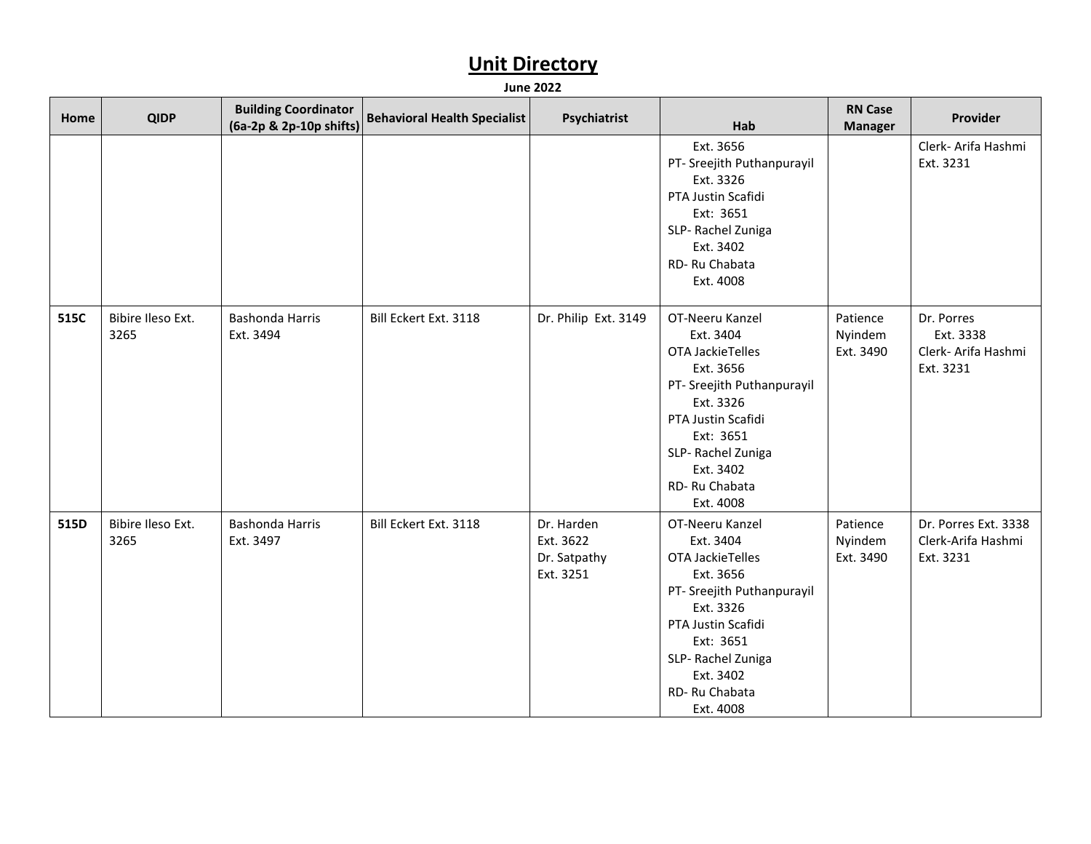| Home | <b>QIDP</b>               | <b>Building Coordinator</b><br>(6a-2p & 2p-10p shifts) | <b>Behavioral Health Specialist</b> | Psychiatrist                                         | Hab                                                                                                                                                                                                         | <b>RN Case</b><br><b>Manager</b> | Provider                                                    |
|------|---------------------------|--------------------------------------------------------|-------------------------------------|------------------------------------------------------|-------------------------------------------------------------------------------------------------------------------------------------------------------------------------------------------------------------|----------------------------------|-------------------------------------------------------------|
|      |                           |                                                        |                                     |                                                      | Ext. 3656<br>PT- Sreejith Puthanpurayil<br>Ext. 3326<br>PTA Justin Scafidi<br>Ext: 3651<br>SLP-Rachel Zuniga<br>Ext. 3402<br>RD-Ru Chabata<br>Ext. 4008                                                     |                                  | Clerk- Arifa Hashmi<br>Ext. 3231                            |
| 515C | Bibire Ileso Ext.<br>3265 | Bashonda Harris<br>Ext. 3494                           | Bill Eckert Ext. 3118               | Dr. Philip Ext. 3149                                 | OT-Neeru Kanzel<br>Ext. 3404<br>OTA JackieTelles<br>Ext. 3656<br>PT- Sreejith Puthanpurayil<br>Ext. 3326<br>PTA Justin Scafidi<br>Ext: 3651<br>SLP-Rachel Zuniga<br>Ext. 3402<br>RD-Ru Chabata<br>Ext. 4008 | Patience<br>Nyindem<br>Ext. 3490 | Dr. Porres<br>Ext. 3338<br>Clerk- Arifa Hashmi<br>Ext. 3231 |
| 515D | Bibire Ileso Ext.<br>3265 | Bashonda Harris<br>Ext. 3497                           | Bill Eckert Ext. 3118               | Dr. Harden<br>Ext. 3622<br>Dr. Satpathy<br>Ext. 3251 | OT-Neeru Kanzel<br>Ext. 3404<br>OTA JackieTelles<br>Ext. 3656<br>PT- Sreejith Puthanpurayil<br>Ext. 3326<br>PTA Justin Scafidi<br>Ext: 3651<br>SLP-Rachel Zuniga<br>Ext. 3402<br>RD-Ru Chabata<br>Ext. 4008 | Patience<br>Nyindem<br>Ext. 3490 | Dr. Porres Ext. 3338<br>Clerk-Arifa Hashmi<br>Ext. 3231     |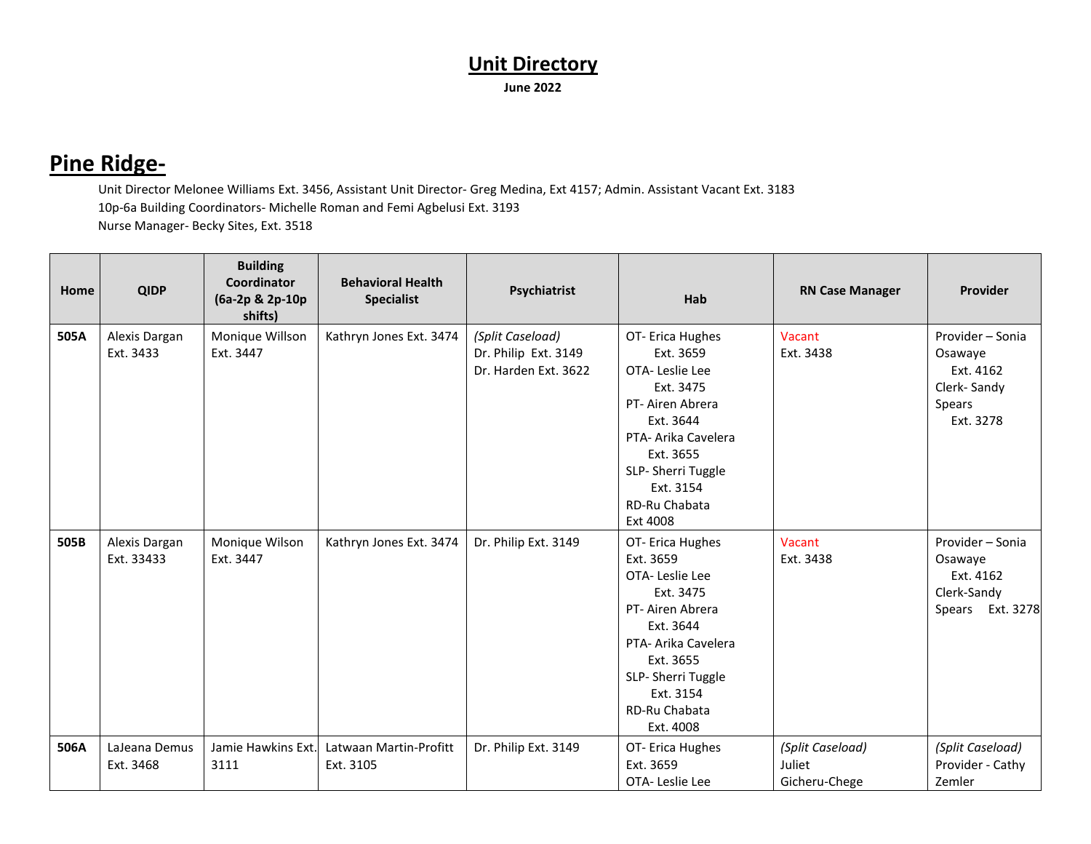#### **Pine Ridge-**

Unit Director Melonee Williams Ext. 3456, Assistant Unit Director- Greg Medina, Ext 4157; Admin. Assistant Vacant Ext. 3183 10p-6a Building Coordinators- Michelle Roman and Femi Agbelusi Ext. 3193 Nurse Manager- Becky Sites, Ext. 3518

| Home | <b>QIDP</b>                 | <b>Building</b><br>Coordinator<br>(6a-2p & 2p-10p<br>shifts) | <b>Behavioral Health</b><br><b>Specialist</b> | Psychiatrist                                                     | Hab                                                                                                                                                                                              | <b>RN Case Manager</b>                      | <b>Provider</b>                                                                |
|------|-----------------------------|--------------------------------------------------------------|-----------------------------------------------|------------------------------------------------------------------|--------------------------------------------------------------------------------------------------------------------------------------------------------------------------------------------------|---------------------------------------------|--------------------------------------------------------------------------------|
| 505A | Alexis Dargan<br>Ext. 3433  | Monique Willson<br>Ext. 3447                                 | Kathryn Jones Ext. 3474                       | (Split Caseload)<br>Dr. Philip Ext. 3149<br>Dr. Harden Ext. 3622 | OT-Erica Hughes<br>Ext. 3659<br>OTA-Leslie Lee<br>Ext. 3475<br>PT-Airen Abrera<br>Ext. 3644<br>PTA- Arika Cavelera<br>Ext. 3655<br>SLP-Sherri Tuggle<br>Ext. 3154<br>RD-Ru Chabata<br>Ext 4008   | Vacant<br>Ext. 3438                         | Provider - Sonia<br>Osawaye<br>Ext. 4162<br>Clerk-Sandy<br>Spears<br>Ext. 3278 |
| 505B | Alexis Dargan<br>Ext. 33433 | Monique Wilson<br>Ext. 3447                                  | Kathryn Jones Ext. 3474                       | Dr. Philip Ext. 3149                                             | OT- Erica Hughes<br>Ext. 3659<br>OTA-Leslie Lee<br>Ext. 3475<br>PT-Airen Abrera<br>Ext. 3644<br>PTA- Arika Cavelera<br>Ext. 3655<br>SLP-Sherri Tuggle<br>Ext. 3154<br>RD-Ru Chabata<br>Ext. 4008 | Vacant<br>Ext. 3438                         | Provider - Sonia<br>Osawaye<br>Ext. 4162<br>Clerk-Sandy<br>Ext. 3278<br>Spears |
| 506A | LaJeana Demus<br>Ext. 3468  | Jamie Hawkins Ext.<br>3111                                   | Latwaan Martin-Profitt<br>Ext. 3105           | Dr. Philip Ext. 3149                                             | OT-Erica Hughes<br>Ext. 3659<br>OTA-Leslie Lee                                                                                                                                                   | (Split Caseload)<br>Juliet<br>Gicheru-Chege | (Split Caseload)<br>Provider - Cathy<br>Zemler                                 |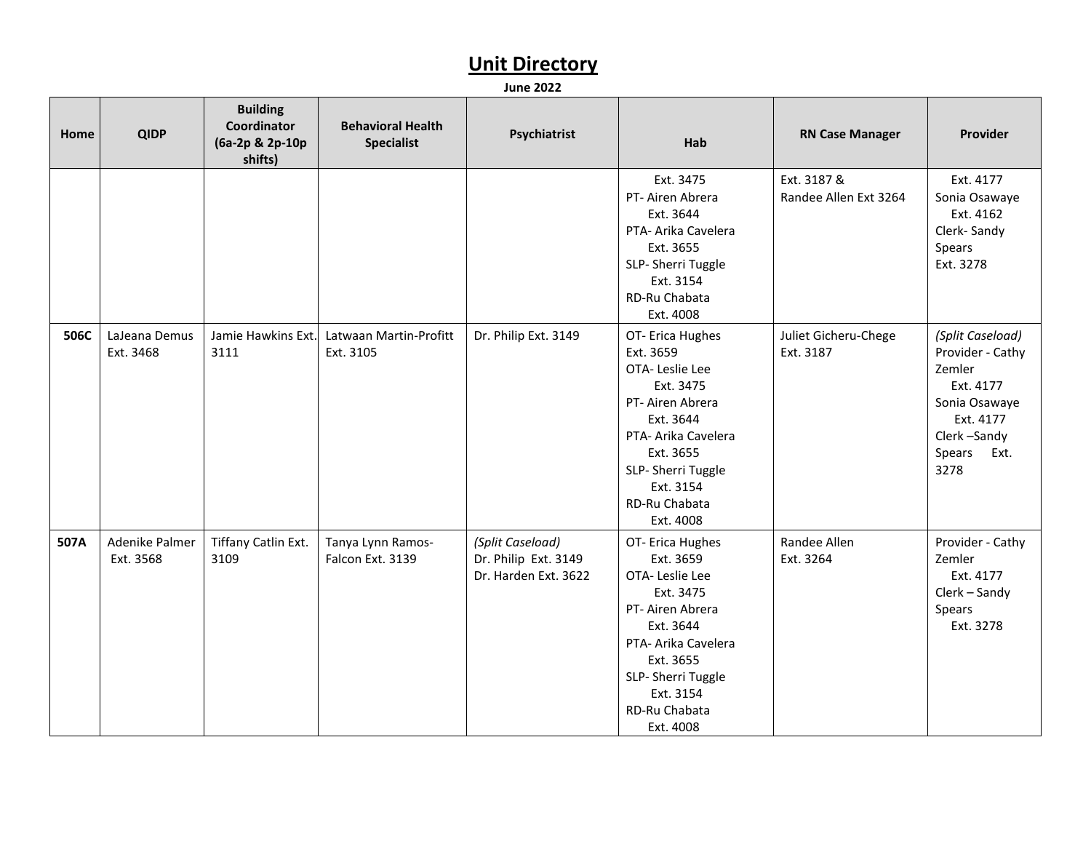| Home | <b>QIDP</b>                 | <b>Building</b><br>Coordinator<br>(6a-2p & 2p-10p<br>shifts) | <b>Behavioral Health</b><br><b>Specialist</b> | Psychiatrist                                                     | Hab                                                                                                                                                                                                | <b>RN Case Manager</b>               | Provider                                                                                                                        |
|------|-----------------------------|--------------------------------------------------------------|-----------------------------------------------|------------------------------------------------------------------|----------------------------------------------------------------------------------------------------------------------------------------------------------------------------------------------------|--------------------------------------|---------------------------------------------------------------------------------------------------------------------------------|
|      |                             |                                                              |                                               |                                                                  | Ext. 3475<br>PT- Airen Abrera<br>Ext. 3644<br>PTA- Arika Cavelera<br>Ext. 3655<br>SLP- Sherri Tuggle<br>Ext. 3154<br>RD-Ru Chabata<br>Ext. 4008                                                    | Ext. 3187 &<br>Randee Allen Ext 3264 | Ext. 4177<br>Sonia Osawaye<br>Ext. 4162<br>Clerk-Sandy<br>Spears<br>Ext. 3278                                                   |
| 506C | LaJeana Demus<br>Ext. 3468  | Jamie Hawkins Ext.<br>3111                                   | Latwaan Martin-Profitt<br>Ext. 3105           | Dr. Philip Ext. 3149                                             | OT- Erica Hughes<br>Ext. 3659<br>OTA-Leslie Lee<br>Ext. 3475<br>PT- Airen Abrera<br>Ext. 3644<br>PTA- Arika Cavelera<br>Ext. 3655<br>SLP- Sherri Tuggle<br>Ext. 3154<br>RD-Ru Chabata<br>Ext. 4008 | Juliet Gicheru-Chege<br>Ext. 3187    | (Split Caseload)<br>Provider - Cathy<br>Zemler<br>Ext. 4177<br>Sonia Osawaye<br>Ext. 4177<br>Clerk-Sandy<br>Spears Ext.<br>3278 |
| 507A | Adenike Palmer<br>Ext. 3568 | Tiffany Catlin Ext.<br>3109                                  | Tanya Lynn Ramos-<br>Falcon Ext. 3139         | (Split Caseload)<br>Dr. Philip Ext. 3149<br>Dr. Harden Ext. 3622 | OT- Erica Hughes<br>Ext. 3659<br>OTA-Leslie Lee<br>Ext. 3475<br>PT- Airen Abrera<br>Ext. 3644<br>PTA- Arika Cavelera<br>Ext. 3655<br>SLP- Sherri Tuggle<br>Ext. 3154<br>RD-Ru Chabata<br>Ext. 4008 | Randee Allen<br>Ext. 3264            | Provider - Cathy<br>Zemler<br>Ext. 4177<br>Clerk - Sandy<br>Spears<br>Ext. 3278                                                 |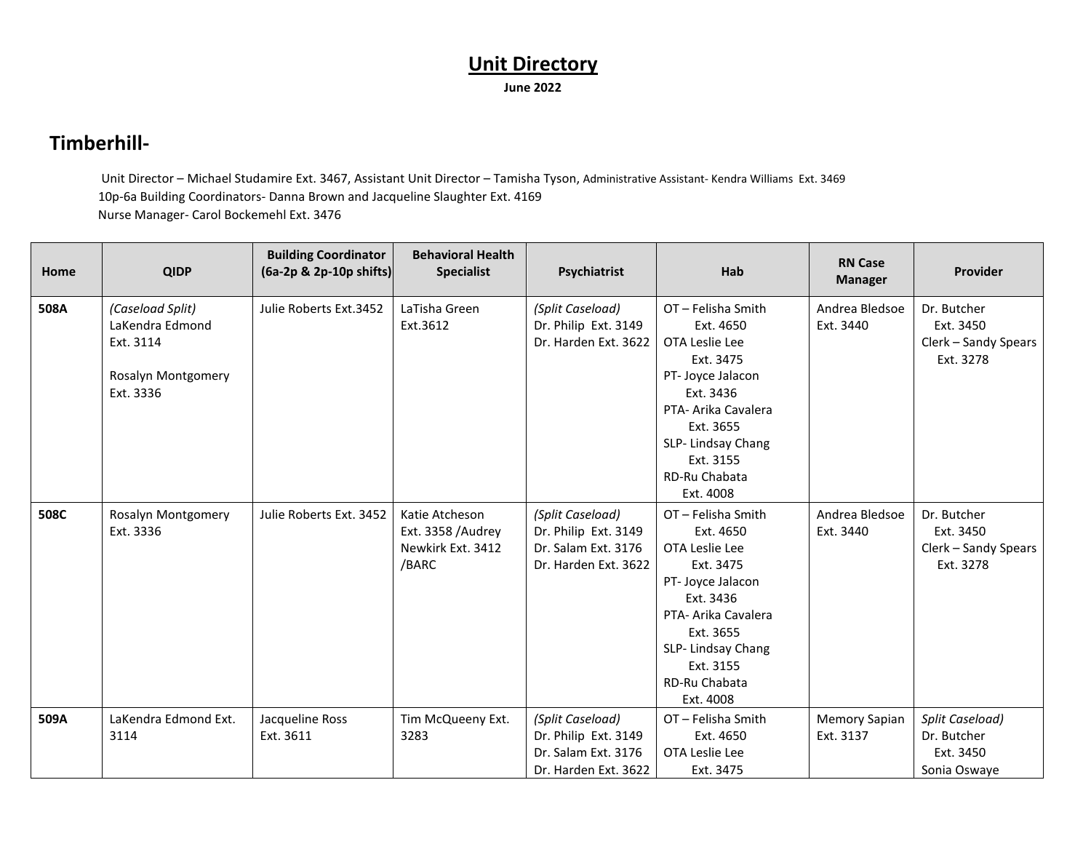#### **Timberhill-**

Unit Director – Michael Studamire Ext. 3467, Assistant Unit Director – Tamisha Tyson, Administrative Assistant- Kendra Williams Ext. 3469 10p-6a Building Coordinators- Danna Brown and Jacqueline Slaughter Ext. 4169 Nurse Manager- Carol Bockemehl Ext. 3476

| Home | <b>QIDP</b>                                                                         | <b>Building Coordinator</b><br>(6a-2p & 2p-10p shifts) | <b>Behavioral Health</b><br><b>Specialist</b>                     | Psychiatrist                                                                            | Hab                                                                                                                                                                                                | <b>RN Case</b><br><b>Manager</b> | Provider                                                      |
|------|-------------------------------------------------------------------------------------|--------------------------------------------------------|-------------------------------------------------------------------|-----------------------------------------------------------------------------------------|----------------------------------------------------------------------------------------------------------------------------------------------------------------------------------------------------|----------------------------------|---------------------------------------------------------------|
| 508A | (Caseload Split)<br>LaKendra Edmond<br>Ext. 3114<br>Rosalyn Montgomery<br>Ext. 3336 | Julie Roberts Ext.3452                                 | LaTisha Green<br>Ext.3612                                         | (Split Caseload)<br>Dr. Philip Ext. 3149<br>Dr. Harden Ext. 3622                        | OT-Felisha Smith<br>Ext. 4650<br>OTA Leslie Lee<br>Ext. 3475<br>PT- Joyce Jalacon<br>Ext. 3436<br>PTA- Arika Cavalera<br>Ext. 3655<br>SLP-Lindsay Chang<br>Ext. 3155<br>RD-Ru Chabata<br>Ext. 4008 | Andrea Bledsoe<br>Ext. 3440      | Dr. Butcher<br>Ext. 3450<br>Clerk – Sandy Spears<br>Ext. 3278 |
| 508C | Rosalyn Montgomery<br>Ext. 3336                                                     | Julie Roberts Ext. 3452                                | Katie Atcheson<br>Ext. 3358 /Audrey<br>Newkirk Ext. 3412<br>/BARC | (Split Caseload)<br>Dr. Philip Ext. 3149<br>Dr. Salam Ext. 3176<br>Dr. Harden Ext. 3622 | OT-Felisha Smith<br>Ext. 4650<br>OTA Leslie Lee<br>Ext. 3475<br>PT- Joyce Jalacon<br>Ext. 3436<br>PTA- Arika Cavalera<br>Ext. 3655<br>SLP-Lindsay Chang<br>Ext. 3155<br>RD-Ru Chabata<br>Ext. 4008 | Andrea Bledsoe<br>Ext. 3440      | Dr. Butcher<br>Ext. 3450<br>Clerk - Sandy Spears<br>Ext. 3278 |
| 509A | LaKendra Edmond Ext.<br>3114                                                        | Jacqueline Ross<br>Ext. 3611                           | Tim McQueeny Ext.<br>3283                                         | (Split Caseload)<br>Dr. Philip Ext. 3149<br>Dr. Salam Ext. 3176<br>Dr. Harden Ext. 3622 | OT-Felisha Smith<br>Ext. 4650<br>OTA Leslie Lee<br>Ext. 3475                                                                                                                                       | Memory Sapian<br>Ext. 3137       | Split Caseload)<br>Dr. Butcher<br>Ext. 3450<br>Sonia Oswaye   |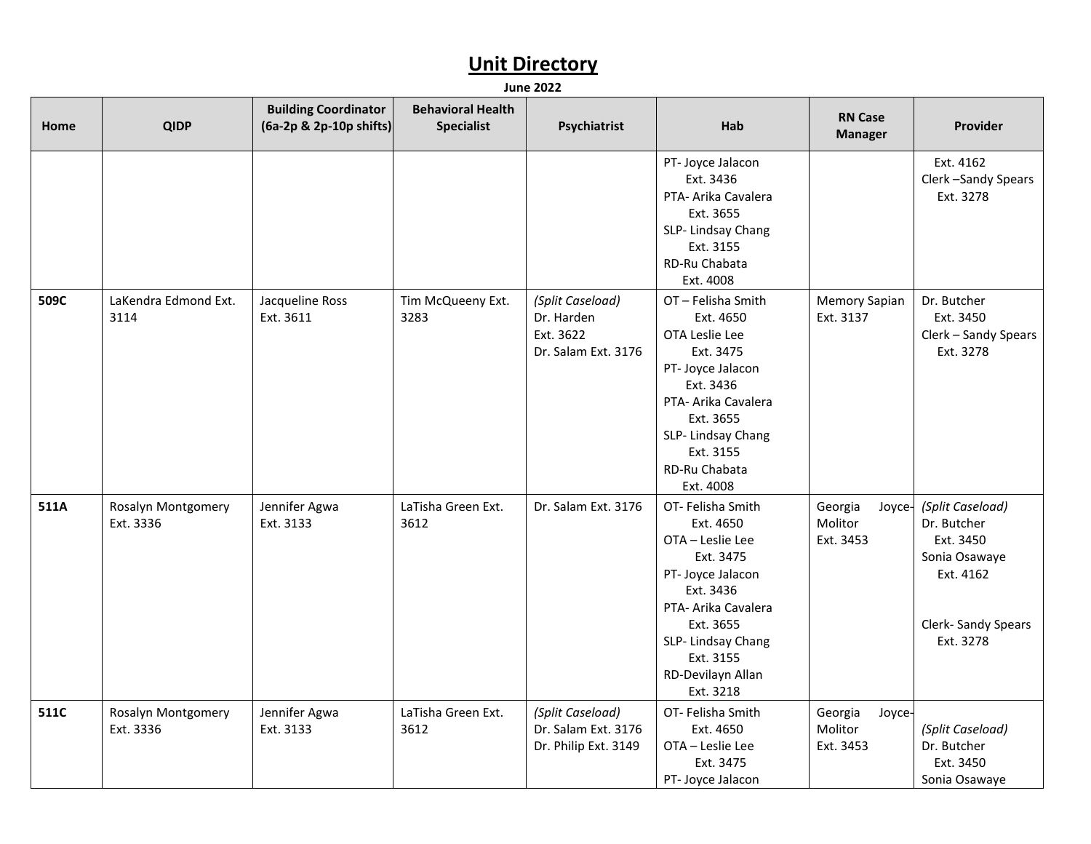| Home | <b>QIDP</b>                     | <b>Building Coordinator</b><br>(6a-2p & 2p-10p shifts) | <b>Behavioral Health</b><br><b>Specialist</b> | Psychiatrist                                                       | Hab                                                                                                                                                                                                       | <b>RN Case</b><br><b>Manager</b>          | Provider                                                                                                       |
|------|---------------------------------|--------------------------------------------------------|-----------------------------------------------|--------------------------------------------------------------------|-----------------------------------------------------------------------------------------------------------------------------------------------------------------------------------------------------------|-------------------------------------------|----------------------------------------------------------------------------------------------------------------|
|      |                                 |                                                        |                                               |                                                                    | PT- Joyce Jalacon<br>Ext. 3436<br>PTA- Arika Cavalera<br>Ext. 3655<br>SLP-Lindsay Chang<br>Ext. 3155<br>RD-Ru Chabata<br>Ext. 4008                                                                        |                                           | Ext. 4162<br>Clerk-Sandy Spears<br>Ext. 3278                                                                   |
| 509C | LaKendra Edmond Ext.<br>3114    | Jacqueline Ross<br>Ext. 3611                           | Tim McQueeny Ext.<br>3283                     | (Split Caseload)<br>Dr. Harden<br>Ext. 3622<br>Dr. Salam Ext. 3176 | OT-Felisha Smith<br>Ext. 4650<br>OTA Leslie Lee<br>Ext. 3475<br>PT- Joyce Jalacon<br>Ext. 3436<br>PTA- Arika Cavalera<br>Ext. 3655<br>SLP-Lindsay Chang<br>Ext. 3155<br>RD-Ru Chabata<br>Ext. 4008        | Memory Sapian<br>Ext. 3137                | Dr. Butcher<br>Ext. 3450<br>Clerk - Sandy Spears<br>Ext. 3278                                                  |
| 511A | Rosalyn Montgomery<br>Ext. 3336 | Jennifer Agwa<br>Ext. 3133                             | LaTisha Green Ext.<br>3612                    | Dr. Salam Ext. 3176                                                | OT- Felisha Smith<br>Ext. 4650<br>OTA - Leslie Lee<br>Ext. 3475<br>PT- Joyce Jalacon<br>Ext. 3436<br>PTA- Arika Cavalera<br>Ext. 3655<br>SLP-Lindsay Chang<br>Ext. 3155<br>RD-Devilayn Allan<br>Ext. 3218 | Georgia<br>Joyce-<br>Molitor<br>Ext. 3453 | (Split Caseload)<br>Dr. Butcher<br>Ext. 3450<br>Sonia Osawaye<br>Ext. 4162<br>Clerk- Sandy Spears<br>Ext. 3278 |
| 511C | Rosalyn Montgomery<br>Ext. 3336 | Jennifer Agwa<br>Ext. 3133                             | LaTisha Green Ext.<br>3612                    | (Split Caseload)<br>Dr. Salam Ext. 3176<br>Dr. Philip Ext. 3149    | OT-Felisha Smith<br>Ext. 4650<br>OTA - Leslie Lee<br>Ext. 3475<br>PT- Joyce Jalacon                                                                                                                       | Georgia<br>Joyce-<br>Molitor<br>Ext. 3453 | (Split Caseload)<br>Dr. Butcher<br>Ext. 3450<br>Sonia Osawaye                                                  |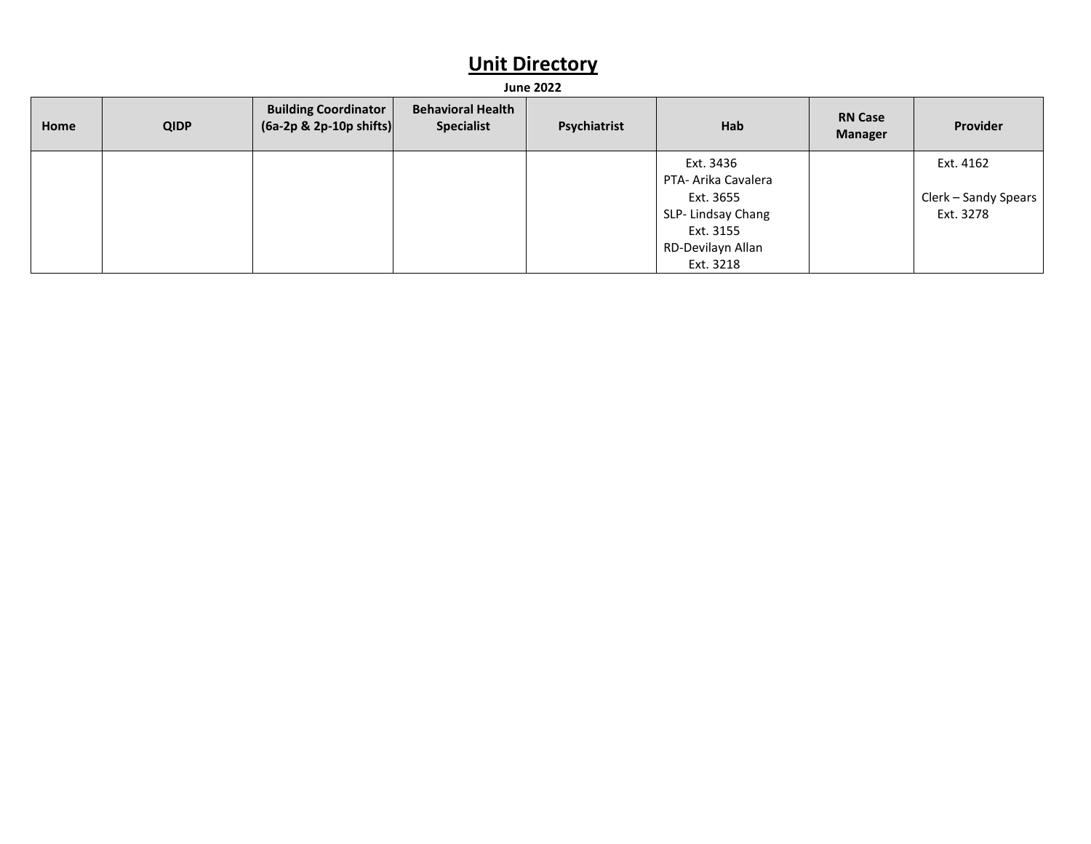| Home | <b>QIDP</b> | <b>Building Coordinator</b><br>$(6a-2p \& 2p-10p \text{ shifts})$ | <b>Behavioral Health</b><br><b>Specialist</b> | Psychiatrist | Hab                              | <b>RN Case</b><br><b>Manager</b> | Provider             |
|------|-------------|-------------------------------------------------------------------|-----------------------------------------------|--------------|----------------------------------|----------------------------------|----------------------|
|      |             |                                                                   |                                               |              | Ext. 3436<br>PTA- Arika Cavalera |                                  | Ext. 4162            |
|      |             |                                                                   |                                               |              | Ext. 3655                        |                                  | Clerk – Sandy Spears |
|      |             |                                                                   |                                               |              | SLP- Lindsay Chang               |                                  | Ext. 3278            |
|      |             |                                                                   |                                               |              | Ext. 3155                        |                                  |                      |
|      |             |                                                                   |                                               |              | RD-Devilayn Allan                |                                  |                      |
|      |             |                                                                   |                                               |              | Ext. 3218                        |                                  |                      |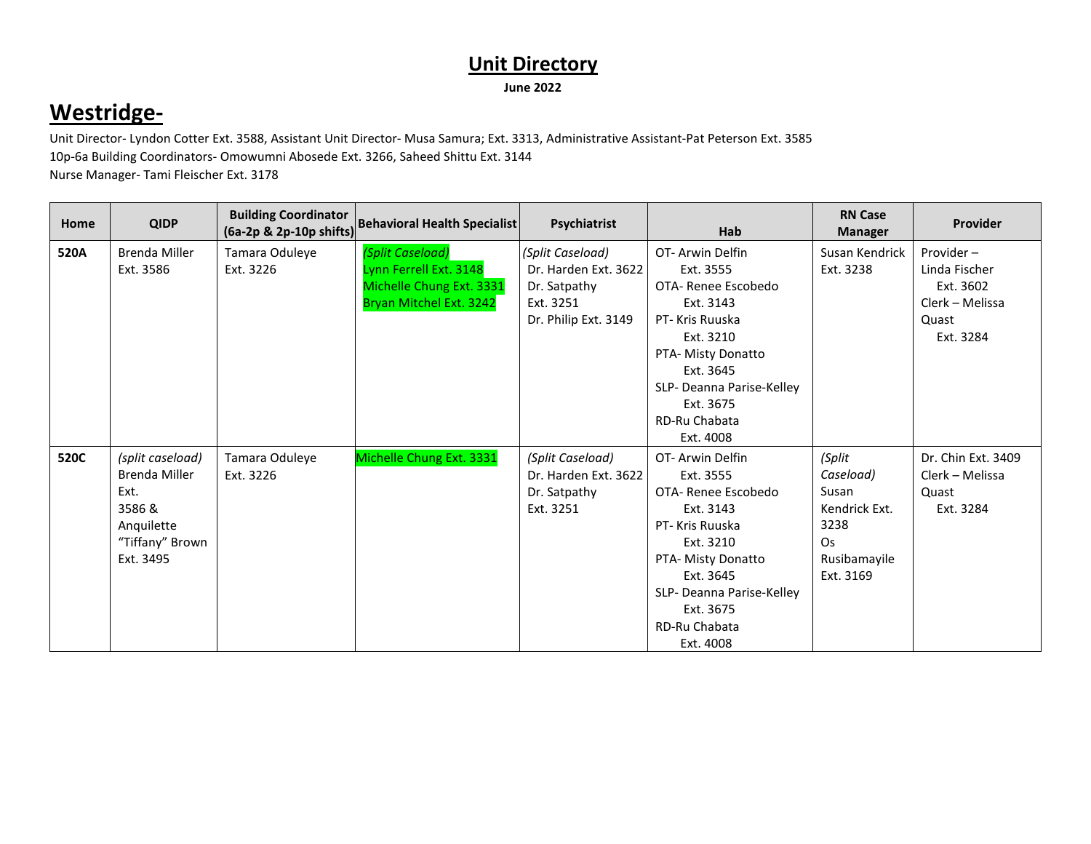#### **Westridge-**

Unit Director- Lyndon Cotter Ext. 3588, Assistant Unit Director- Musa Samura; Ext. 3313, Administrative Assistant-Pat Peterson Ext. 3585 10p-6a Building Coordinators- Omowumni Abosede Ext. 3266, Saheed Shittu Ext. 3144 Nurse Manager- Tami Fleischer Ext. 3178

| Home | <b>QIDP</b>          | <b>Building Coordinator</b><br>$(6a-2p & 2p-10p & 5hifts)$ | <b>Behavioral Health Specialist</b> | Psychiatrist         | Hab                       | <b>RN Case</b><br><b>Manager</b> | Provider           |
|------|----------------------|------------------------------------------------------------|-------------------------------------|----------------------|---------------------------|----------------------------------|--------------------|
| 520A | <b>Brenda Miller</b> | Tamara Oduleye                                             | (Split Caseload)                    | (Split Caseload)     | OT-Arwin Delfin           | Susan Kendrick                   | Provider-          |
|      | Ext. 3586            | Ext. 3226                                                  | Lynn Ferrell Ext. 3148              | Dr. Harden Ext. 3622 | Ext. 3555                 | Ext. 3238                        | Linda Fischer      |
|      |                      |                                                            | Michelle Chung Ext. 3331            | Dr. Satpathy         | OTA-Renee Escobedo        |                                  | Ext. 3602          |
|      |                      |                                                            | Bryan Mitchel Ext. 3242             | Ext. 3251            | Ext. 3143                 |                                  | Clerk – Melissa    |
|      |                      |                                                            |                                     | Dr. Philip Ext. 3149 | PT- Kris Ruuska           |                                  | Quast              |
|      |                      |                                                            |                                     |                      | Ext. 3210                 |                                  | Ext. 3284          |
|      |                      |                                                            |                                     |                      | PTA- Misty Donatto        |                                  |                    |
|      |                      |                                                            |                                     |                      | Ext. 3645                 |                                  |                    |
|      |                      |                                                            |                                     |                      | SLP- Deanna Parise-Kelley |                                  |                    |
|      |                      |                                                            |                                     |                      | Ext. 3675                 |                                  |                    |
|      |                      |                                                            |                                     |                      | RD-Ru Chabata             |                                  |                    |
|      |                      |                                                            |                                     |                      | Ext. 4008                 |                                  |                    |
| 520C | (split caseload)     | Tamara Oduleye                                             | Michelle Chung Ext. 3331            | (Split Caseload)     | OT-Arwin Delfin           | (Split                           | Dr. Chin Ext. 3409 |
|      | Brenda Miller        | Ext. 3226                                                  |                                     | Dr. Harden Ext. 3622 | Ext. 3555                 | Caseload)                        | Clerk - Melissa    |
|      | Ext.                 |                                                            |                                     | Dr. Satpathy         | OTA-Renee Escobedo        | Susan                            | Quast              |
|      | 3586 &               |                                                            |                                     | Ext. 3251            | Ext. 3143                 | Kendrick Ext.                    | Ext. 3284          |
|      | Anquilette           |                                                            |                                     |                      | PT- Kris Ruuska           | 3238                             |                    |
|      | "Tiffany" Brown      |                                                            |                                     |                      | Ext. 3210                 | <b>Os</b>                        |                    |
|      | Ext. 3495            |                                                            |                                     |                      | PTA- Misty Donatto        | Rusibamayile                     |                    |
|      |                      |                                                            |                                     |                      | Ext. 3645                 | Ext. 3169                        |                    |
|      |                      |                                                            |                                     |                      | SLP- Deanna Parise-Kelley |                                  |                    |
|      |                      |                                                            |                                     |                      | Ext. 3675                 |                                  |                    |
|      |                      |                                                            |                                     |                      | RD-Ru Chabata             |                                  |                    |
|      |                      |                                                            |                                     |                      | Ext. 4008                 |                                  |                    |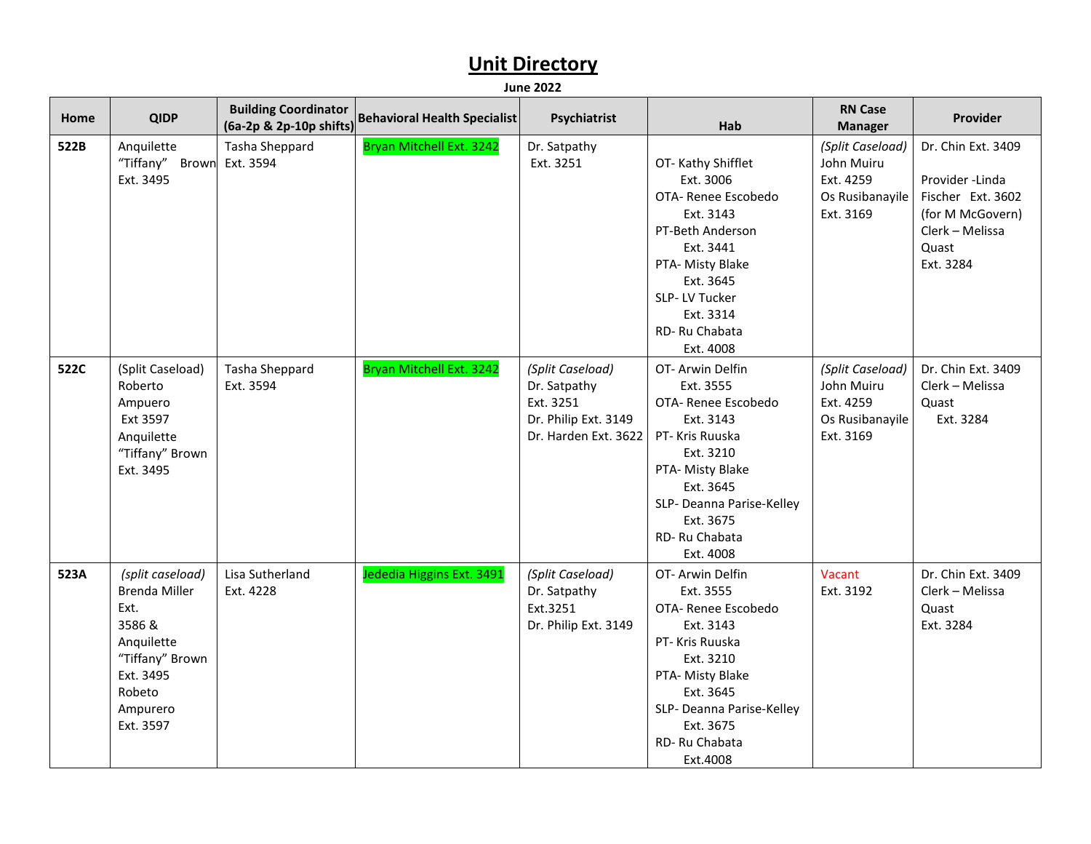| Home | <b>QIDP</b>                                                                                                                                 | <b>Building Coordinator</b><br>(6a-2p & 2p-10p shifts) | <b>Behavioral Health Specialist</b> | Psychiatrist                                                                                  | Hab                                                                                                                                                                                                       | <b>RN Case</b><br><b>Manager</b>                                            | Provider                                                                                                                |
|------|---------------------------------------------------------------------------------------------------------------------------------------------|--------------------------------------------------------|-------------------------------------|-----------------------------------------------------------------------------------------------|-----------------------------------------------------------------------------------------------------------------------------------------------------------------------------------------------------------|-----------------------------------------------------------------------------|-------------------------------------------------------------------------------------------------------------------------|
| 522B | Anquilette<br>"Tiffany" Brown<br>Ext. 3495                                                                                                  | Tasha Sheppard<br>Ext. 3594                            | Bryan Mitchell Ext. 3242            | Dr. Satpathy<br>Ext. 3251                                                                     | OT-Kathy Shifflet<br>Ext. 3006<br>OTA- Renee Escobedo<br>Ext. 3143<br>PT-Beth Anderson<br>Ext. 3441<br>PTA- Misty Blake<br>Ext. 3645<br>SLP-LV Tucker<br>Ext. 3314<br>RD-Ru Chabata<br>Ext. 4008          | (Split Caseload)<br>John Muiru<br>Ext. 4259<br>Os Rusibanayile<br>Ext. 3169 | Dr. Chin Ext. 3409<br>Provider -Linda<br>Fischer Ext. 3602<br>(for M McGovern)<br>Clerk - Melissa<br>Quast<br>Ext. 3284 |
| 522C | (Split Caseload)<br>Roberto<br>Ampuero<br>Ext 3597<br>Anquilette<br>"Tiffany" Brown<br>Ext. 3495                                            | Tasha Sheppard<br>Ext. 3594                            | Bryan Mitchell Ext. 3242            | (Split Caseload)<br>Dr. Satpathy<br>Ext. 3251<br>Dr. Philip Ext. 3149<br>Dr. Harden Ext. 3622 | OT- Arwin Delfin<br>Ext. 3555<br>OTA- Renee Escobedo<br>Ext. 3143<br>PT-Kris Ruuska<br>Ext. 3210<br>PTA- Misty Blake<br>Ext. 3645<br>SLP- Deanna Parise-Kelley<br>Ext. 3675<br>RD-Ru Chabata<br>Ext. 4008 | (Split Caseload)<br>John Muiru<br>Ext. 4259<br>Os Rusibanayile<br>Ext. 3169 | Dr. Chin Ext. 3409<br>Clerk - Melissa<br>Quast<br>Ext. 3284                                                             |
| 523A | (split caseload)<br><b>Brenda Miller</b><br>Ext.<br>3586 &<br>Anquilette<br>"Tiffany" Brown<br>Ext. 3495<br>Robeto<br>Ampurero<br>Ext. 3597 | Lisa Sutherland<br>Ext. 4228                           | Jededia Higgins Ext. 3491           | (Split Caseload)<br>Dr. Satpathy<br>Ext.3251<br>Dr. Philip Ext. 3149                          | OT- Arwin Delfin<br>Ext. 3555<br>OTA- Renee Escobedo<br>Ext. 3143<br>PT- Kris Ruuska<br>Ext. 3210<br>PTA- Misty Blake<br>Ext. 3645<br>SLP- Deanna Parise-Kelley<br>Ext. 3675<br>RD-Ru Chabata<br>Ext.4008 | Vacant<br>Ext. 3192                                                         | Dr. Chin Ext. 3409<br>Clerk - Melissa<br>Quast<br>Ext. 3284                                                             |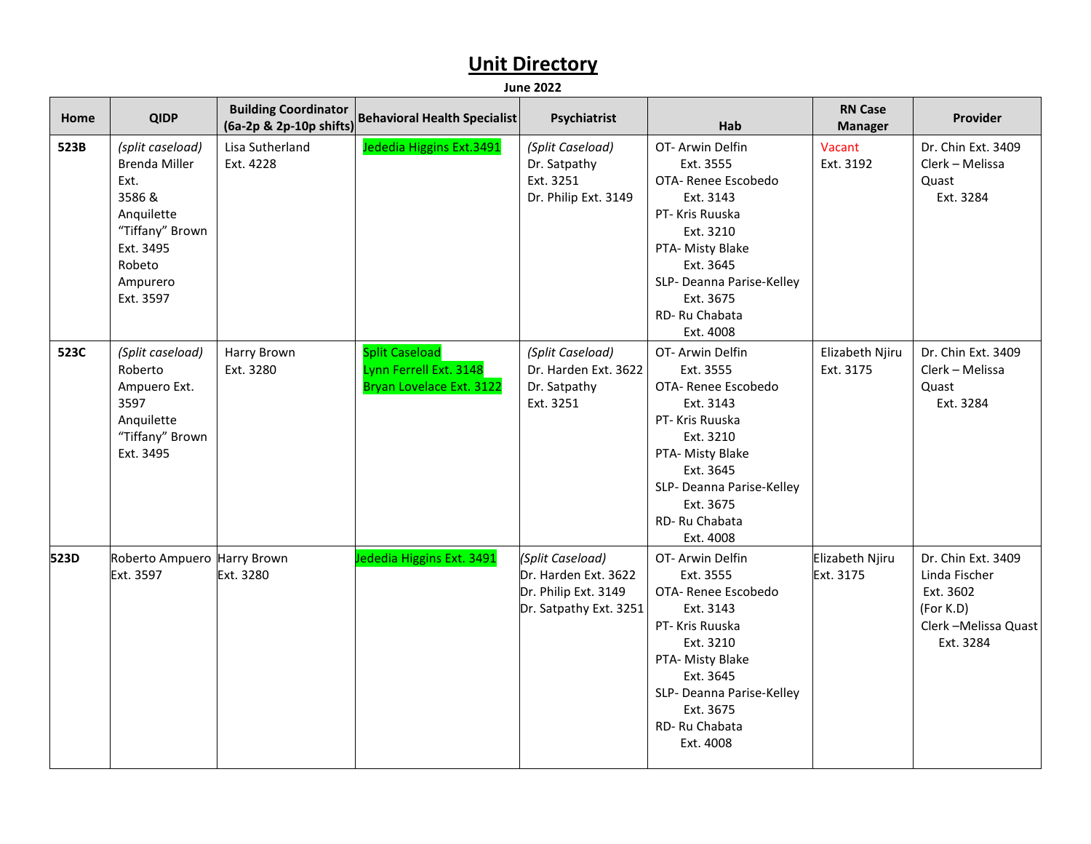| Home | <b>QIDP</b>                                                                                                                                 | <b>Building Coordinator</b><br>(6a-2p & 2p-10p shifts) | <b>Behavioral Health Specialist</b>                                         | Psychiatrist                                                                               | Hab                                                                                                                                                                                                       | <b>RN Case</b><br><b>Manager</b> | Provider                                                                                          |
|------|---------------------------------------------------------------------------------------------------------------------------------------------|--------------------------------------------------------|-----------------------------------------------------------------------------|--------------------------------------------------------------------------------------------|-----------------------------------------------------------------------------------------------------------------------------------------------------------------------------------------------------------|----------------------------------|---------------------------------------------------------------------------------------------------|
| 523B | (split caseload)<br><b>Brenda Miller</b><br>Ext.<br>3586 &<br>Anquilette<br>"Tiffany" Brown<br>Ext. 3495<br>Robeto<br>Ampurero<br>Ext. 3597 | Lisa Sutherland<br>Ext. 4228                           | Jededia Higgins Ext.3491                                                    | (Split Caseload)<br>Dr. Satpathy<br>Ext. 3251<br>Dr. Philip Ext. 3149                      | OT-Arwin Delfin<br>Ext. 3555<br>OTA- Renee Escobedo<br>Ext. 3143<br>PT- Kris Ruuska<br>Ext. 3210<br>PTA- Misty Blake<br>Ext. 3645<br>SLP- Deanna Parise-Kelley<br>Ext. 3675<br>RD-Ru Chabata<br>Ext. 4008 | Vacant<br>Ext. 3192              | Dr. Chin Ext. 3409<br>Clerk - Melissa<br>Quast<br>Ext. 3284                                       |
| 523C | (Split caseload)<br>Roberto<br>Ampuero Ext.<br>3597<br>Anquilette<br>"Tiffany" Brown<br>Ext. 3495                                           | Harry Brown<br>Ext. 3280                               | <b>Split Caseload</b><br>Lynn Ferrell Ext. 3148<br>Bryan Lovelace Ext. 3122 | (Split Caseload)<br>Dr. Harden Ext. 3622<br>Dr. Satpathy<br>Ext. 3251                      | OT-Arwin Delfin<br>Ext. 3555<br>OTA- Renee Escobedo<br>Ext. 3143<br>PT- Kris Ruuska<br>Ext. 3210<br>PTA- Misty Blake<br>Ext. 3645<br>SLP- Deanna Parise-Kelley<br>Ext. 3675<br>RD-Ru Chabata<br>Ext. 4008 | Elizabeth Njiru<br>Ext. 3175     | Dr. Chin Ext. 3409<br>Clerk - Melissa<br>Quast<br>Ext. 3284                                       |
| 523D | Roberto Ampuero Harry Brown<br>Ext. 3597                                                                                                    | Ext. 3280                                              | Jededia Higgins Ext. 3491                                                   | (Split Caseload)<br>Dr. Harden Ext. 3622<br>Dr. Philip Ext. 3149<br>Dr. Satpathy Ext. 3251 | OT-Arwin Delfin<br>Ext. 3555<br>OTA- Renee Escobedo<br>Ext. 3143<br>PT- Kris Ruuska<br>Ext. 3210<br>PTA- Misty Blake<br>Ext. 3645<br>SLP- Deanna Parise-Kelley<br>Ext. 3675<br>RD-Ru Chabata<br>Ext. 4008 | Elizabeth Njiru<br>Ext. 3175     | Dr. Chin Ext. 3409<br>Linda Fischer<br>Ext. 3602<br>(For K.D)<br>Clerk-Melissa Quast<br>Ext. 3284 |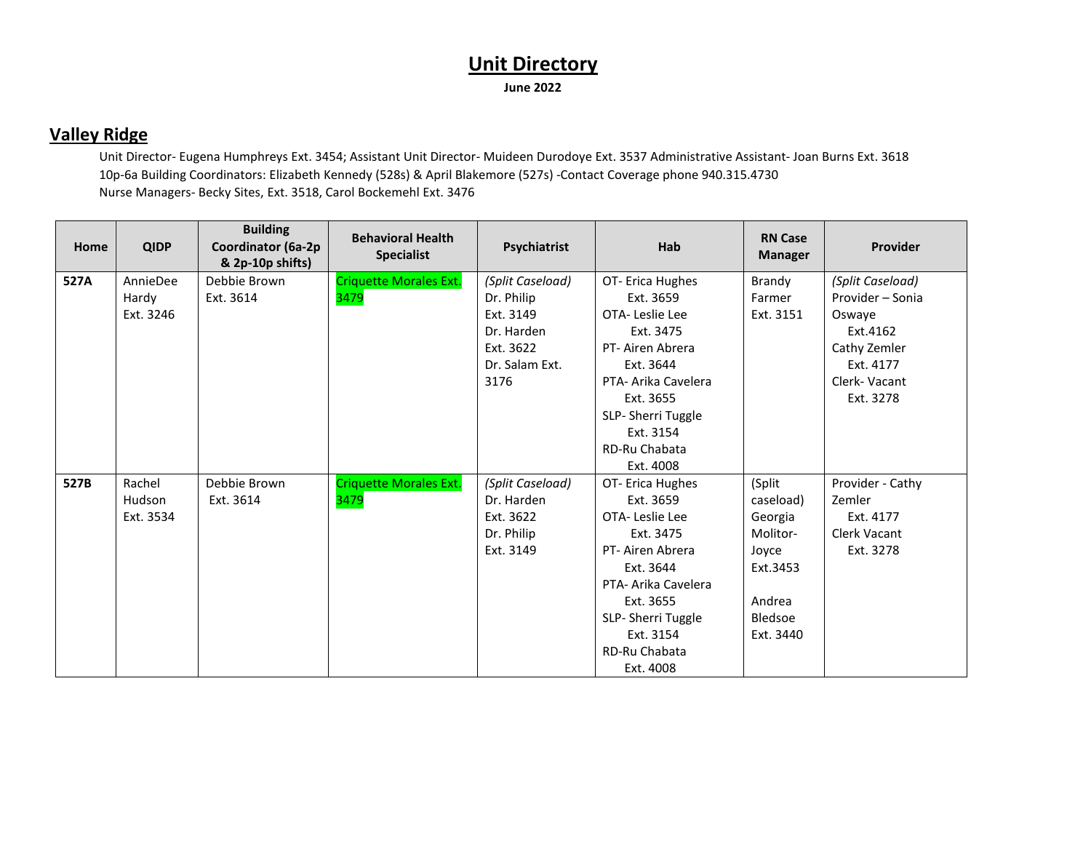#### **Valley Ridge**

Unit Director- Eugena Humphreys Ext. 3454; Assistant Unit Director- Muideen Durodoye Ext. 3537 Administrative Assistant- Joan Burns Ext. 3618 10p-6a Building Coordinators: Elizabeth Kennedy (528s) & April Blakemore (527s) -Contact Coverage phone 940.315.4730 Nurse Managers- Becky Sites, Ext. 3518, Carol Bockemehl Ext. 3476

| Home | <b>QIDP</b> | <b>Building</b><br>Coordinator (6a-2p<br>& 2p-10p shifts) | <b>Behavioral Health</b><br><b>Specialist</b> | Psychiatrist     | Hab                 | <b>RN Case</b><br><b>Manager</b> | Provider         |
|------|-------------|-----------------------------------------------------------|-----------------------------------------------|------------------|---------------------|----------------------------------|------------------|
| 527A | AnnieDee    | Debbie Brown                                              | <b>Criquette Morales Ext.</b>                 | (Split Caseload) | OT- Erica Hughes    | Brandy                           | (Split Caseload) |
|      | Hardy       | Ext. 3614                                                 | 3479                                          | Dr. Philip       | Ext. 3659           | Farmer                           | Provider - Sonia |
|      | Ext. 3246   |                                                           |                                               | Ext. 3149        | OTA-Leslie Lee      | Ext. 3151                        | Oswaye           |
|      |             |                                                           |                                               | Dr. Harden       | Ext. 3475           |                                  | Ext.4162         |
|      |             |                                                           |                                               | Ext. 3622        | PT-Airen Abrera     |                                  | Cathy Zemler     |
|      |             |                                                           |                                               | Dr. Salam Ext.   | Ext. 3644           |                                  | Ext. 4177        |
|      |             |                                                           |                                               | 3176             | PTA- Arika Cavelera |                                  | Clerk-Vacant     |
|      |             |                                                           |                                               |                  | Ext. 3655           |                                  | Ext. 3278        |
|      |             |                                                           |                                               |                  | SLP-Sherri Tuggle   |                                  |                  |
|      |             |                                                           |                                               |                  | Ext. 3154           |                                  |                  |
|      |             |                                                           |                                               |                  | RD-Ru Chabata       |                                  |                  |
|      |             |                                                           |                                               |                  | Ext. 4008           |                                  |                  |
| 527B | Rachel      | Debbie Brown                                              | <b>Criquette Morales Ext.</b>                 | (Split Caseload) | OT- Erica Hughes    | (Split                           | Provider - Cathy |
|      | Hudson      | Ext. 3614                                                 | 3479                                          | Dr. Harden       | Ext. 3659           | caseload)                        | Zemler           |
|      | Ext. 3534   |                                                           |                                               | Ext. 3622        | OTA-Leslie Lee      | Georgia                          | Ext. 4177        |
|      |             |                                                           |                                               | Dr. Philip       | Ext. 3475           | Molitor-                         | Clerk Vacant     |
|      |             |                                                           |                                               | Ext. 3149        | PT-Airen Abrera     | Joyce                            | Ext. 3278        |
|      |             |                                                           |                                               |                  | Ext. 3644           | Ext.3453                         |                  |
|      |             |                                                           |                                               |                  | PTA- Arika Cavelera |                                  |                  |
|      |             |                                                           |                                               |                  | Ext. 3655           | Andrea                           |                  |
|      |             |                                                           |                                               |                  | SLP-Sherri Tuggle   | Bledsoe                          |                  |
|      |             |                                                           |                                               |                  | Ext. 3154           | Ext. 3440                        |                  |
|      |             |                                                           |                                               |                  | RD-Ru Chabata       |                                  |                  |
|      |             |                                                           |                                               |                  | Ext. 4008           |                                  |                  |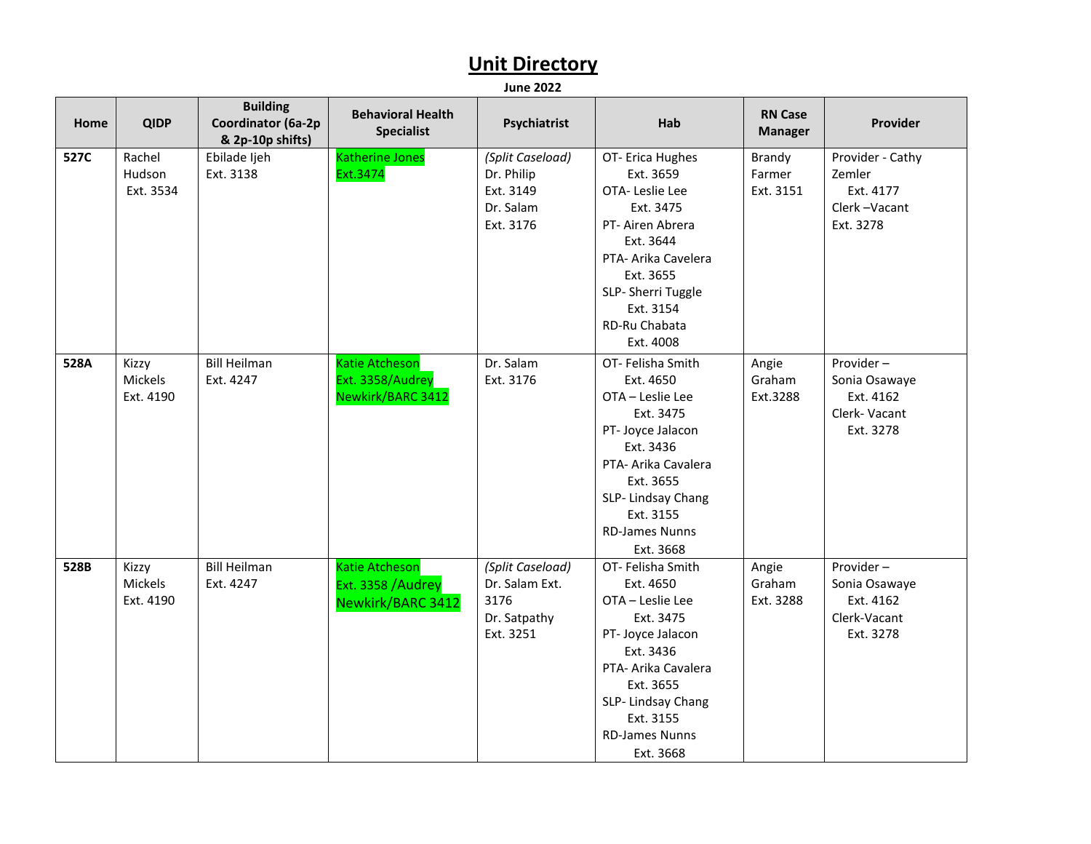| Home | <b>QIDP</b>                   | <b>Building</b><br>Coordinator (6a-2p<br>& 2p-10p shifts) | <b>Behavioral Health</b><br><b>Specialist</b>                          | Psychiatrist                                                            | Hab                                                                                                                                                                                                           | <b>RN Case</b><br><b>Manager</b> | Provider                                                             |
|------|-------------------------------|-----------------------------------------------------------|------------------------------------------------------------------------|-------------------------------------------------------------------------|---------------------------------------------------------------------------------------------------------------------------------------------------------------------------------------------------------------|----------------------------------|----------------------------------------------------------------------|
| 527C | Rachel<br>Hudson<br>Ext. 3534 | Ebilade Ijeh<br>Ext. 3138                                 | <b>Katherine Jones</b><br>Ext.3474                                     | (Split Caseload)<br>Dr. Philip<br>Ext. 3149<br>Dr. Salam<br>Ext. 3176   | OT- Erica Hughes<br>Ext. 3659<br>OTA-Leslie Lee<br>Ext. 3475<br>PT- Airen Abrera<br>Ext. 3644<br>PTA- Arika Cavelera<br>Ext. 3655<br>SLP-Sherri Tuggle<br>Ext. 3154<br>RD-Ru Chabata<br>Ext. 4008             | Brandy<br>Farmer<br>Ext. 3151    | Provider - Cathy<br>Zemler<br>Ext. 4177<br>Clerk-Vacant<br>Ext. 3278 |
| 528A | Kizzy<br>Mickels<br>Ext. 4190 | <b>Bill Heilman</b><br>Ext. 4247                          | <b>Katie Atcheson</b><br>Ext. 3358/Audrey<br>Newkirk/BARC 3412         | Dr. Salam<br>Ext. 3176                                                  | OT- Felisha Smith<br>Ext. 4650<br>OTA - Leslie Lee<br>Ext. 3475<br>PT- Joyce Jalacon<br>Ext. 3436<br>PTA- Arika Cavalera<br>Ext. 3655<br>SLP-Lindsay Chang<br>Ext. 3155<br><b>RD-James Nunns</b><br>Ext. 3668 | Angie<br>Graham<br>Ext.3288      | Provider-<br>Sonia Osawaye<br>Ext. 4162<br>Clerk-Vacant<br>Ext. 3278 |
| 528B | Kizzy<br>Mickels<br>Ext. 4190 | <b>Bill Heilman</b><br>Ext. 4247                          | <b>Katie Atcheson</b><br>Ext. 3358 /Audrey<br><b>Newkirk/BARC 3412</b> | (Split Caseload)<br>Dr. Salam Ext.<br>3176<br>Dr. Satpathy<br>Ext. 3251 | OT-Felisha Smith<br>Ext. 4650<br>OTA - Leslie Lee<br>Ext. 3475<br>PT- Joyce Jalacon<br>Ext. 3436<br>PTA- Arika Cavalera<br>Ext. 3655<br>SLP-Lindsay Chang<br>Ext. 3155<br><b>RD-James Nunns</b><br>Ext. 3668  | Angie<br>Graham<br>Ext. 3288     | Provider-<br>Sonia Osawaye<br>Ext. 4162<br>Clerk-Vacant<br>Ext. 3278 |